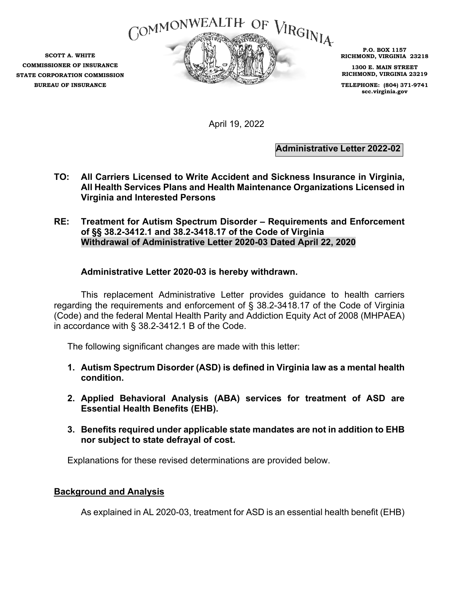

**SCOTT A. WHITE COMMISSIONER OF INSURANCE STATE CORPORATION COMMISSION BUREAU OF INSURANCE** 

**P.O. BOX 1157 RICHMOND, VIRGINIA 23218** 

**1300 E. MAIN STREET RICHMOND, VIRGINIA 23219** 

**TELEPHONE: (804) 371-9741 scc.virginia.gov** 

April 19, 2022

**Administrative Letter 2022-02**

- **TO: All Carriers Licensed to Write Accident and Sickness Insurance in Virginia, All Health Services Plans and Health Maintenance Organizations Licensed in Virginia and Interested Persons**
- **RE: Treatment for Autism Spectrum Disorder Requirements and Enforcement of §§ 38.2-3412.1 and 38.2-3418.17 of the Code of Virginia Withdrawal of Administrative Letter 2020-03 Dated April 22, 2020**

## **Administrative Letter 2020-03 is hereby withdrawn.**

This replacement Administrative Letter provides guidance to health carriers regarding the requirements and enforcement of § 38.2-3418.17 of the Code of Virginia (Code) and the federal Mental Health Parity and Addiction Equity Act of 2008 (MHPAEA) in accordance with § 38.2-3412.1 B of the Code.

The following significant changes are made with this letter:

- **1. Autism Spectrum Disorder (ASD) is defined in Virginia law as a mental health condition.**
- **2. Applied Behavioral Analysis (ABA) services for treatment of ASD are Essential Health Benefits (EHB).**
- **3. Benefits required under applicable state mandates are not in addition to EHB nor subject to state defrayal of cost.**

Explanations for these revised determinations are provided below.

## **Background and Analysis**

As explained in AL 2020-03, treatment for ASD is an essential health benefit (EHB)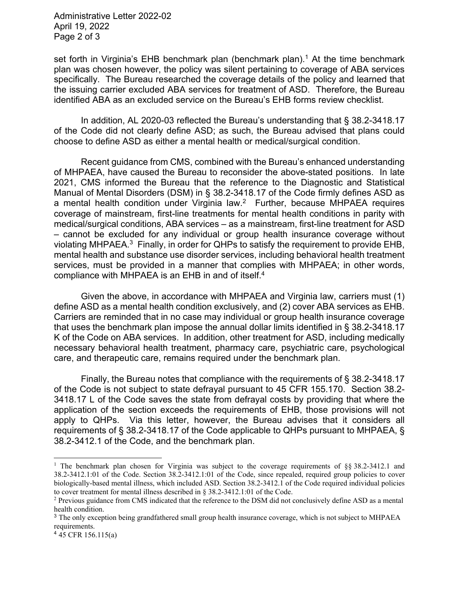Administrative Letter 2022-02 April 19, 2022 Page 2 of 3

set forth in Virginia's EHB benchmark plan (benchmark plan).<sup>1</sup> At the time benchmark plan was chosen however, the policy was silent pertaining to coverage of ABA services specifically. The Bureau researched the coverage details of the policy and learned that the issuing carrier excluded ABA services for treatment of ASD. Therefore, the Bureau identified ABA as an excluded service on the Bureau's EHB forms review checklist.

In addition, AL 2020-03 reflected the Bureau's understanding that § 38.2-3418.17 of the Code did not clearly define ASD; as such, the Bureau advised that plans could choose to define ASD as either a mental health or medical/surgical condition.

Recent guidance from CMS, combined with the Bureau's enhanced understanding of MHPAEA, have caused the Bureau to reconsider the above-stated positions. In late 2021, CMS informed the Bureau that the reference to the Diagnostic and Statistical Manual of Mental Disorders (DSM) in § 38.2-3418.17 of the Code firmly defines ASD as a mental health condition under Virginia law.<sup>2</sup> Further, because MHPAEA requires coverage of mainstream, first-line treatments for mental health conditions in parity with medical/surgical conditions, ABA services – as a mainstream, first-line treatment for ASD – cannot be excluded for any individual or group health insurance coverage without violating MHPAEA.<sup>3</sup> Finally, in order for QHPs to satisfy the requirement to provide EHB, mental health and substance use disorder services, including behavioral health treatment services, must be provided in a manner that complies with MHPAEA; in other words, compliance with MHPAEA is an EHB in and of itself.4

Given the above, in accordance with MHPAEA and Virginia law, carriers must (1) define ASD as a mental health condition exclusively, and (2) cover ABA services as EHB. Carriers are reminded that in no case may individual or group health insurance coverage that uses the benchmark plan impose the annual dollar limits identified in § 38.2-3418.17 K of the Code on ABA services. In addition, other treatment for ASD, including medically necessary behavioral health treatment, pharmacy care, psychiatric care, psychological care, and therapeutic care, remains required under the benchmark plan.

Finally, the Bureau notes that compliance with the requirements of § 38.2-3418.17 of the Code is not subject to state defrayal pursuant to 45 CFR 155.170. Section 38.2- 3418.17 L of the Code saves the state from defrayal costs by providing that where the application of the section exceeds the requirements of EHB, those provisions will not apply to QHPs. Via this letter, however, the Bureau advises that it considers all requirements of § 38.2-3418.17 of the Code applicable to QHPs pursuant to MHPAEA, § 38.2-3412.1 of the Code, and the benchmark plan.

<sup>&</sup>lt;sup>1</sup> The benchmark plan chosen for Virginia was subject to the coverage requirements of §§ 38.2-3412.1 and 38.2-3412.1:01 of the Code. Section 38.2-3412.1:01 of the Code, since repealed, required group policies to cover biologically-based mental illness, which included ASD. Section 38.2-3412.1 of the Code required individual policies to cover treatment for mental illness described in § 38.2-3412.1:01 of the Code.

<sup>&</sup>lt;sup>2</sup> Previous guidance from CMS indicated that the reference to the DSM did not conclusively define ASD as a mental health condition.

<sup>3</sup> The only exception being grandfathered small group health insurance coverage, which is not subject to MHPAEA requirements.

 $4\overline{4}$ 5 CFR 156.115(a)